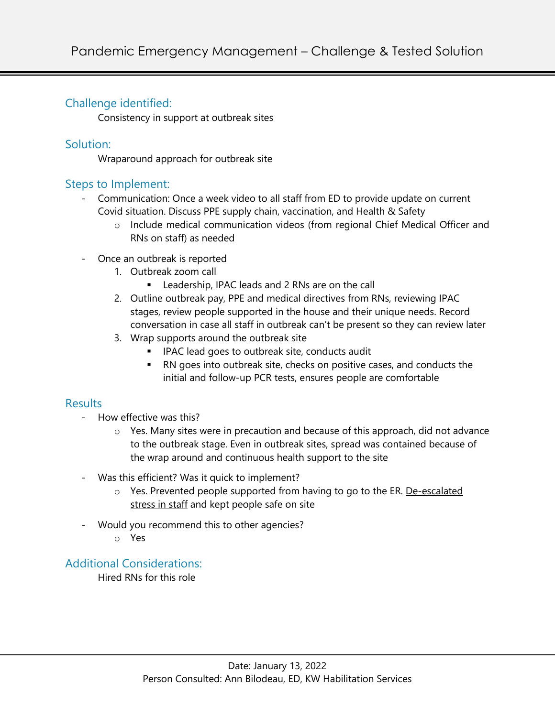## Challenge identified:

Consistency in support at outbreak sites

#### Solution:

Wraparound approach for outbreak site

### Steps to Implement:

- Communication: Once a week video to all staff from ED to provide update on current Covid situation. Discuss PPE supply chain, vaccination, and Health & Safety
	- o Include medical communication videos (from regional Chief Medical Officer and RNs on staff) as needed
- Once an outbreak is reported
	- 1. Outbreak zoom call
		- Leadership, IPAC leads and 2 RNs are on the call
	- 2. Outline outbreak pay, PPE and medical directives from RNs, reviewing IPAC stages, review people supported in the house and their unique needs. Record conversation in case all staff in outbreak can't be present so they can review later
	- 3. Wrap supports around the outbreak site
		- IPAC lead goes to outbreak site, conducts audit
		- RN goes into outbreak site, checks on positive cases, and conducts the initial and follow-up PCR tests, ensures people are comfortable

#### **Results**

- How effective was this?
	- $\circ$  Yes. Many sites were in precaution and because of this approach, did not advance to the outbreak stage. Even in outbreak sites, spread was contained because of the wrap around and continuous health support to the site
- Was this efficient? Was it quick to implement?
	- o Yes. Prevented people supported from having to go to the ER. De-escalated stress in staff and kept people safe on site
- Would you recommend this to other agencies?
	- o Yes

Additional Considerations:

Hired RNs for this role